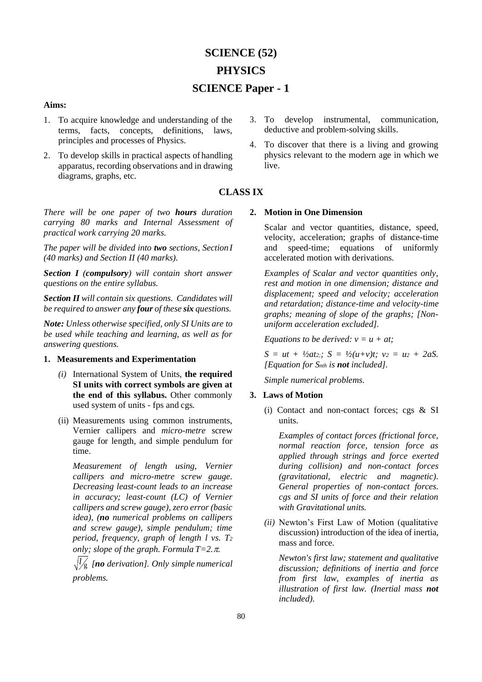# **SCIENCE (52) PHYSICS SCIENCE Paper - 1**

## **Aims:**

- 1. To acquire knowledge and understanding of the terms, facts, concepts, definitions, laws, principles and processes of Physics.
- 2. To develop skills in practical aspects of handling apparatus, recording observations and in drawing diagrams, graphs, etc.

*There will be one paper of two hours duration carrying 80 marks and Internal Assessment of practical work carrying 20 marks.*

*The paper will be divided into two sections, SectionI (40 marks) and Section II (40 marks).*

*Section I (compulsory) will contain short answer questions on the entire syllabus.*

*Section II will contain six questions. Candidates will be required to answer any four of these six questions.*

*Note: Unless otherwise specified, only SI Units are to be used while teaching and learning, as well as for answering questions.*

# **1. Measurements and Experimentation**

- *(i)* International System of Units, **the required SI units with correct symbols are given at the end of this syllabus.** Other commonly used system of units - fps and cgs*.*
- (ii) Measurements using common instruments, Vernier callipers and *micro-metre* screw gauge for length, and simple pendulum for time.

*Measurement of length using, Vernier callipers and micro-metre screw gauge. Decreasing least-count leads to an increase in accuracy; least-count (LC) of Vernier callipers and screw gauge), zero error (basic idea), (no numerical problems on callipers and screw gauge), simple pendulum; time period, frequency, graph of length l vs. T<sup>2</sup> only; slope of the graph. Formula*  $T=2, \pi$ .

*l* g *[no derivation]. Only simple numerical problems.*

- 3. To develop instrumental, communication, deductive and problem-solving skills.
- 4. To discover that there is a living and growing physics relevant to the modern age in which we live.

# **CLASS IX**

## **2. Motion in One Dimension**

Scalar and vector quantities, distance, speed, velocity, acceleration; graphs of distance-time and speed-time; equations of uniformly accelerated motion with derivations.

*Examples of Scalar and vector quantities only, rest and motion in one dimension; distance and displacement; speed and velocity; acceleration and retardation; distance-time and velocity-time graphs; meaning of slope of the graphs; [Nonuniform acceleration excluded].*

*Equations to be derived: v = u + at;*

 $S = ut + \frac{1}{2}at_2$ ;  $S = \frac{1}{2}(u+v)t$ ;  $v_2 = u_2 + 2aS$ . *[Equation for Snth is not included].*

*Simple numerical problems.*

### **3. Laws of Motion**

(i) Contact and non-contact forces; cgs & SI units.

*Examples of contact forces (frictional force, normal reaction force, tension force as applied through strings and force exerted during collision) and non-contact forces (gravitational, electric and magnetic). General properties of non-contact forces. cgs and SI units of force and their relation with Gravitational units.*

*(ii)* Newton's First Law of Motion (qualitative discussion) introduction of the idea of inertia, mass and force*.*

*Newton's first law; statement and qualitative discussion; definitions of inertia and force from first law, examples of inertia as illustration of first law. (Inertial mass not included).*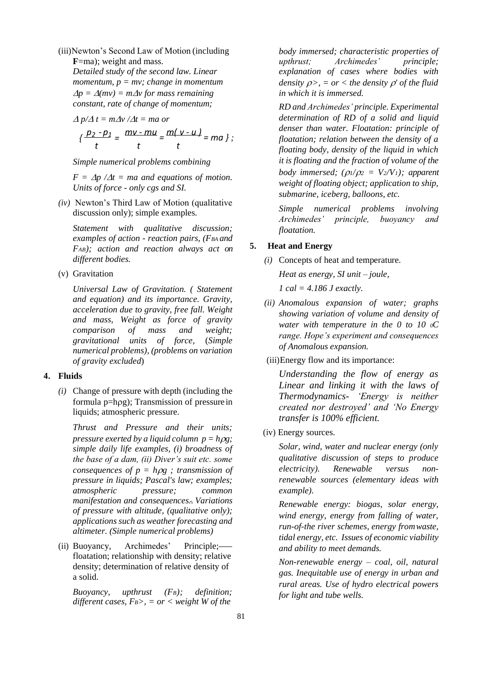(iii)Newton's Second Law of Motion (including **F**=ma); weight and mass.

*Detailed study of the second law. Linear momentum, p = mv; change in momentum*  $\Delta p = \Delta (mv) = m \Delta v$  for mass remaining *constant, rate of change of momentum;*

$$
\Delta p/\Delta t = m\Delta v/\Delta t = ma \text{ or}
$$

$$
\left\{\frac{p_2 - p_1}{t}\right\} = \frac{mv - mu}{t} = \frac{m(v - u)}{t} = ma \},
$$

*Simple numerical problems combining*

 $F = \Delta p / \Delta t = ma$  and equations of motion. *Units of force - only cgs and SI.*

*(iv)* Newton's Third Law of Motion (qualitative discussion only); simple examples*.*

*Statement with qualitative discussion; examples of action - reaction pairs, (FBA and FAB); action and reaction always act on different bodies.*

(v) Gravitation

*Universal Law of Gravitation. ( Statement and equation) and its importance. Gravity, acceleration due to gravity, free fall. Weight and mass, Weight as force of gravity comparison of mass and weight; gravitational units of force,* (*Simple numerical problems), (problems on variation of gravity excluded*)

## **4. Fluids**

*(i)* Change of pressure with depth (including the formula p=hg); Transmission of pressure in liquids; atmospheric pressure*.*

*Thrust and Pressure and their units; pressure exerted by a liquid column*  $p = h\rho g$ ; *simple daily life examples, (i) broadness of the base of a dam, (ii) Diver's suit etc. some consequences of*  $p = h\rho g$ *; transmission of pressure in liquids; Pascal's law; examples; atmospheric pressure; common manifestation and consequences.. Variations of pressure with altitude, (qualitative only); applications such as weather forecasting and altimeter. (Simple numerical problems)*

(ii) Buoyancy, Archimedes' Principle; floatation; relationship with density; relative density; determination of relative density of a solid.

*Buoyancy, upthrust (FB); definition; different cases, FB>, = or < weight W of the*

*body immersed; characteristic properties of upthrust; Archimedes' principle; explanation of cases where bodies with density*  $\rho$ , = *or* < *the density*  $\rho'$  *of the fluid in which it is immersed.*

*RD and Archimedes' principle. Experimental determination of RD of a solid and liquid denser than water. Floatation: principle of floatation; relation between the density of a floating body, density of the liquid in which it is floating and the fraction of volume of the body immersed;*  $(\rho_1/\rho_2 = V_2/V_1)$ ; apparent *weight of floating object; application to ship, submarine, iceberg, balloons, etc.*

*Simple numerical problems involving Archimedes' principle, buoyancy and floatation.*

# **5. Heat and Energy**

*(i)* Concepts of heat and temperature*.* 

*Heat as energy, SI unit – joule,*

*1 cal = 4.186 J exactly.*

*(ii) Anomalous expansion of water; graphs showing variation of volume and density of water with temperature in the 0 to 10 0C range. Hope's experiment and consequences of Anomalous expansion.*

(iii)Energy flow and its importance:

*Understanding the flow of energy as Linear and linking it with the laws of Thermodynamics- 'Energy is neither created nor destroyed' and 'No Energy transfer is 100% efficient.*

(iv) Energy sources.

*Solar, wind, water and nuclear energy (only qualitative discussion of steps to produce electricity). Renewable versus nonrenewable sources (elementary ideas with example).*

*Renewable energy: biogas, solar energy, wind energy, energy from falling of water, run-of-the river schemes, energy fromwaste, tidal energy, etc. Issues of economic viability and ability to meet demands.*

*Non-renewable energy – coal, oil, natural gas. Inequitable use of energy in urban and rural areas. Use of hydro electrical powers for light and tube wells.*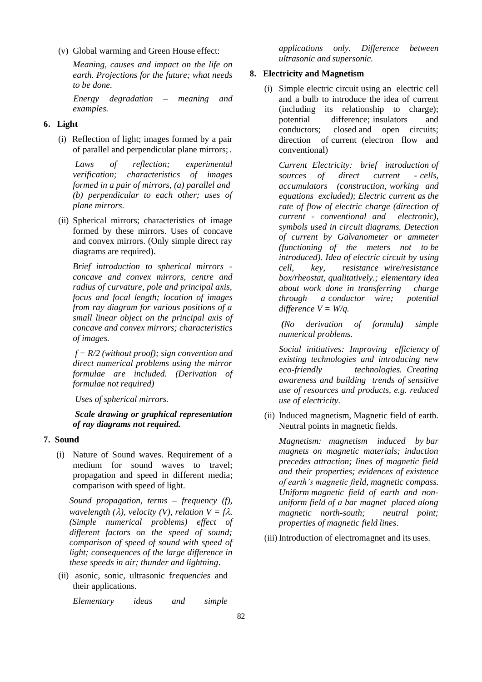(v) Global warming and Green House effect:

*Meaning, causes and impact on the life on earth. Projections for the future; what needs to be done.*

*Energy degradation – meaning and examples.*

# **6. Light**

(i) Reflection of light; images formed by a pair of parallel and perpendicular plane mirrors; .

*Laws of reflection; experimental verification; characteristics of images formed in a pair of mirrors, (a) parallel and (b) perpendicular to each other; uses of plane mirrors*.

(ii) Spherical mirrors; characteristics of image formed by these mirrors. Uses of concave and convex mirrors. (Only simple direct ray diagrams are required).

*Brief introduction to spherical mirrors concave and convex mirrors, centre and radius of curvature, pole and principal axis, focus and focal length; location of images from ray diagram for various positions of a small linear object on the principal axis of concave and convex mirrors; characteristics of images.*

*f = R/2 (without proof); sign convention and direct numerical problems using the mirror formulae are included. (Derivation of formulae not required)*

*Uses of spherical mirrors.*

*Scale drawing or graphical representation of ray diagrams not required.*

# **7. Sound**

(i) Nature of Sound waves. Requirement of a medium for sound waves to travel; propagation and speed in different media; comparison with speed of light.

*Sound propagation, terms – frequency (f), wavelength* ( $\lambda$ ), *velocity* ( $V$ ), *relation*  $V = f\lambda$ . *(Simple numerical problems) effect of different factors on the speed of sound; comparison of speed of sound with speed of light; consequences of the large difference in these speeds in air; thunder and lightning*.

(ii) asonic, sonic, ultrasonic f*requencies* and their applications.

*Elementary ideas and simple* 

*applications only. Difference between ultrasonic and supersonic.*

## **8. Electricity and Magnetism**

(i) Simple electric circuit using an electric cell and a bulb to introduce the idea of current (including its relationship to charge); potential difference; insulators and conductors; closed and open circuits; direction of current (electron flow and conventional)

*Current Electricity: brief introduction of sources of direct current - cells, accumulators (construction, working and equations excluded); Electric current as the rate of flow of electric charge (direction of current - conventional and electronic), symbols used in circuit diagrams. Detection of current by Galvanometer or ammeter (functioning of the meters not to be introduced). Idea of electric circuit by using cell, key, resistance wire/resistance box/rheostat, qualitatively.; elementary idea about work done in transferring charge through a conductor wire; potential difference*  $V = W/q$ .

*(No derivation of formula) simple numerical problems.*

*Social initiatives: Improving efficiency of existing technologies and introducing new eco-friendly technologies. Creating awareness and building trends of sensitive use of resources and products, e.g. reduced use of electricity.*

(ii) Induced magnetism, Magnetic field of earth. Neutral points in magnetic fields.

*Magnetism: magnetism induced by bar magnets on magnetic materials; induction precedes attraction; lines of magnetic field and their properties; evidences of existence of earth's magnetic field, magnetic compass. Uniform magnetic field of earth and nonuniform field of a bar magnet placed along magnetic north-south; neutral point; properties of magnetic field lines*.

(iii) Introduction of electromagnet and its uses.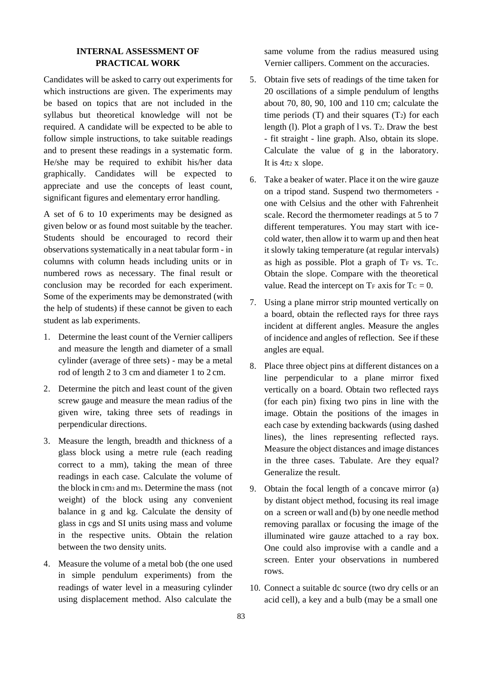# **INTERNAL ASSESSMENT OF PRACTICAL WORK**

Candidates will be asked to carry out experiments for which instructions are given. The experiments may be based on topics that are not included in the syllabus but theoretical knowledge will not be required. A candidate will be expected to be able to follow simple instructions, to take suitable readings and to present these readings in a systematic form. He/she may be required to exhibit his/her data graphically. Candidates will be expected to appreciate and use the concepts of least count, significant figures and elementary error handling.

A set of 6 to 10 experiments may be designed as given below or as found most suitable by the teacher. Students should be encouraged to record their observations systematically in a neat tabular form - in columns with column heads including units or in numbered rows as necessary. The final result or conclusion may be recorded for each experiment. Some of the experiments may be demonstrated (with the help of students) if these cannot be given to each student as lab experiments.

- 1. Determine the least count of the Vernier callipers and measure the length and diameter of a small cylinder (average of three sets) - may be a metal rod of length 2 to 3 cm and diameter 1 to 2 cm.
- 2. Determine the pitch and least count of the given screw gauge and measure the mean radius of the given wire, taking three sets of readings in perpendicular directions.
- 3. Measure the length, breadth and thickness of a glass block using a metre rule (each reading correct to a mm), taking the mean of three readings in each case. Calculate the volume of the block in cm<sup>3</sup> and m3. Determine the mass (not weight) of the block using any convenient balance in g and kg. Calculate the density of glass in cgs and SI units using mass and volume in the respective units. Obtain the relation between the two density units.
- 4. Measure the volume of a metal bob (the one used in simple pendulum experiments) from the readings of water level in a measuring cylinder using displacement method. Also calculate the

same volume from the radius measured using Vernier callipers. Comment on the accuracies.

- 5. Obtain five sets of readings of the time taken for 20 oscillations of a simple pendulum of lengths about 70, 80, 90, 100 and 110 cm; calculate the time periods  $(T)$  and their squares  $(T_2)$  for each length (1). Plot a graph of  $l$  vs. T<sub>2</sub>. Draw the best - fit straight - line graph. Also, obtain its slope. Calculate the value of g in the laboratory. It is  $4\pi$  *x* slope.
- 6. Take a beaker of water. Place it on the wire gauze on a tripod stand. Suspend two thermometers one with Celsius and the other with Fahrenheit scale. Record the thermometer readings at 5 to 7 different temperatures. You may start with icecold water, then allow it to warm up and then heat it slowly taking temperature (at regular intervals) as high as possible. Plot a graph of T<sup>F</sup> vs. TC. Obtain the slope. Compare with the theoretical value. Read the intercept on  $Tr$  axis for  $T_c = 0$ .
- 7. Using a plane mirror strip mounted vertically on a board, obtain the reflected rays for three rays incident at different angles. Measure the angles of incidence and angles of reflection. See if these angles are equal.
- 8. Place three object pins at different distances on a line perpendicular to a plane mirror fixed vertically on a board. Obtain two reflected rays (for each pin) fixing two pins in line with the image. Obtain the positions of the images in each case by extending backwards (using dashed lines), the lines representing reflected rays. Measure the object distances and image distances in the three cases. Tabulate. Are they equal? Generalize the result.
- 9. Obtain the focal length of a concave mirror (a) by distant object method, focusing its real image on a screen or wall and (b) by one needle method removing parallax or focusing the image of the illuminated wire gauze attached to a ray box. One could also improvise with a candle and a screen. Enter your observations in numbered rows.
- 10. Connect a suitable dc source (two dry cells or an acid cell), a key and a bulb (may be a small one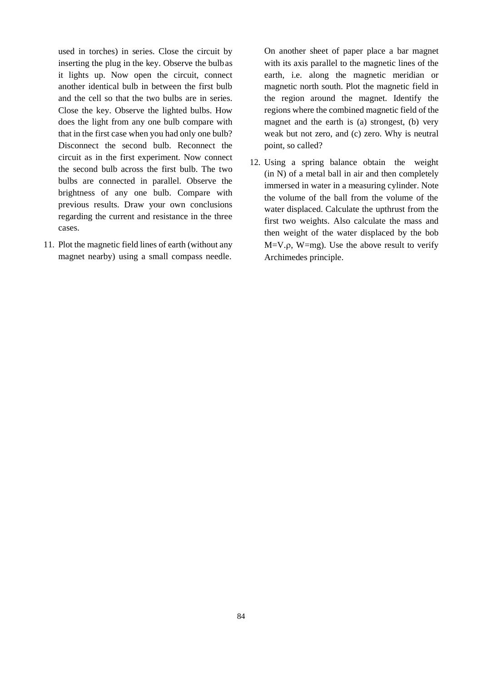used in torches) in series. Close the circuit by inserting the plug in the key. Observe the bulbas it lights up. Now open the circuit, connect another identical bulb in between the first bulb and the cell so that the two bulbs are in series. Close the key. Observe the lighted bulbs. How does the light from any one bulb compare with that in the first case when you had only one bulb? Disconnect the second bulb. Reconnect the circuit as in the first experiment. Now connect the second bulb across the first bulb. The two bulbs are connected in parallel. Observe the brightness of any one bulb. Compare with previous results. Draw your own conclusions regarding the current and resistance in the three cases.

11. Plot the magnetic field lines of earth (without any magnet nearby) using a small compass needle.

On another sheet of paper place a bar magnet with its axis parallel to the magnetic lines of the earth, i.e. along the magnetic meridian or magnetic north south. Plot the magnetic field in the region around the magnet. Identify the regions where the combined magnetic field of the magnet and the earth is (a) strongest, (b) very weak but not zero, and (c) zero. Why is neutral point, so called?

12. Using a spring balance obtain the weight (in N) of a metal ball in air and then completely immersed in water in a measuring cylinder. Note the volume of the ball from the volume of the water displaced. Calculate the upthrust from the first two weights. Also calculate the mass and then weight of the water displaced by the bob  $M=V.p$ ,  $W=mg$ ). Use the above result to verify Archimedes principle.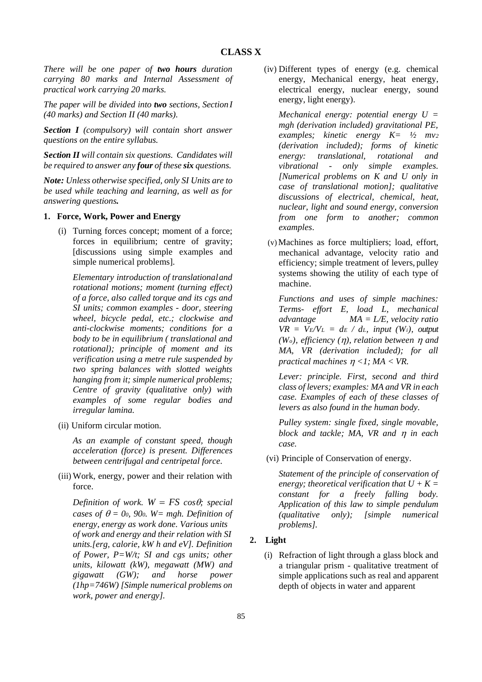*There will be one paper of two hours duration carrying 80 marks and Internal Assessment of practical work carrying 20 marks.*

*The paper will be divided into two sections, SectionI (40 marks) and Section II (40 marks).*

*Section I (compulsory) will contain short answer questions on the entire syllabus.*

*Section II will contain six questions. Candidates will be required to answer any four of these six questions.*

*Note: Unless otherwise specified, only SI Units are to be used while teaching and learning, as well as for answering questions.*

#### **1. Force, Work, Power and Energy**

(i) Turning forces concept; moment of a force; forces in equilibrium; centre of gravity; [discussions using simple examples and simple numerical problems].

*Elementary introduction of translationaland rotational motions; moment (turning effect) of a force, also called torque and its cgs and SI units; common examples - door, steering wheel, bicycle pedal, etc.; clockwise and anti-clockwise moments; conditions for a body to be in equilibrium ( translational and rotational); principle of moment and its verification using a metre rule suspended by two spring balances with slotted weights hanging from it; simple numerical problems; Centre of gravity (qualitative only) with examples of some regular bodies and irregular lamina.*

(ii) Uniform circular motion.

*As an example of constant speed, though acceleration (force) is present. Differences between centrifugal and centripetal force.*

(iii) Work, energy, power and their relation with force.

*Definition of work.*  $W = FS \cos\theta$ ; special *cases of*  $\theta = 0$ *<sup>0</sup>, 90<sup>0</sup>. W= mgh. Definition of energy, energy as work done. Various units of work and energy and their relation with SI units.[erg, calorie, kW h and eV]. Definition of Power, P=W/t; SI and cgs units; other units, kilowatt (kW), megawatt (MW) and gigawatt (GW); and horse power (1hp=746W) [Simple numerical problems on work, power and energy].*

(iv) Different types of energy (e.g. chemical energy, Mechanical energy, heat energy, electrical energy, nuclear energy, sound energy, light energy).

*Mechanical energy: potential energy U = mgh (derivation included) gravitational PE, examples; kinetic energy K= ½ mv<sup>2</sup> (derivation included); forms of kinetic energy: translational, rotational and vibrational - only simple examples. [Numerical problems on K and U only in case of translational motion]; qualitative discussions of electrical, chemical, heat, nuclear, light and sound energy, conversion from one form to another; common examples*.

(v) Machines as force multipliers; load, effort, mechanical advantage, velocity ratio and efficiency; simple treatment of levers, pulley systems showing the utility of each type of machine.

*Functions and uses of simple machines: Terms- effort E, load L, mechanical advantage MA = L/E, velocity ratio*   $VR = V_E/V_L = d_E / d_L$ *, input (W<sub>i</sub>), output*  $(W<sub>o</sub>)$ *, efficiency*  $(\eta)$ *, relation between*  $\eta$  *and MA, VR (derivation included); for all practical machines <1; MA < VR.*

*Lever: principle. First, second and third class of levers; examples: MA and VR in each case. Examples of each of these classes of levers as also found in the human body.*

*Pulley system: single fixed, single movable, block and tackle; MA, VR and in each case.*

(vi) Principle of Conservation of energy.

*Statement of the principle of conservation of energy: theoretical verification that*  $U + K =$ *constant for a freely falling body. Application of this law to simple pendulum (qualitative only); [simple numerical problems].*

#### **2. Light**

(i) Refraction of light through a glass block and a triangular prism - qualitative treatment of simple applications such as real and apparent depth of objects in water and apparent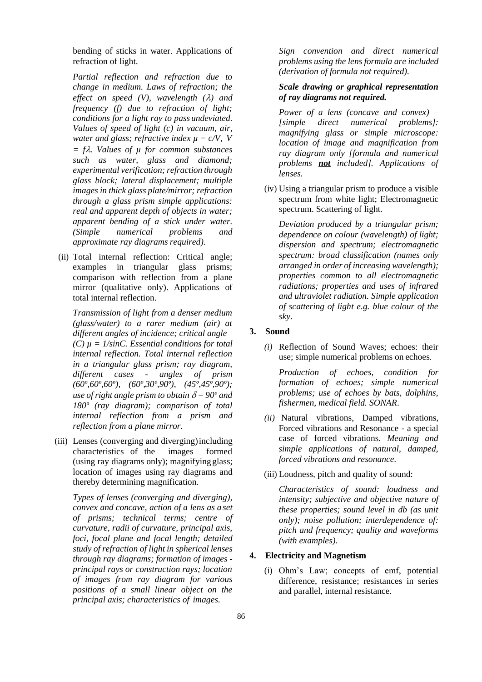bending of sticks in water. Applications of refraction of light.

*Partial reflection and refraction due to change in medium. Laws of refraction; the effect on speed (V), wavelength (* $\lambda$ *) and frequency (f) due to refraction of light; conditions for a light ray to pass undeviated. Values of speed of light (c) in vacuum, air, water and glass; refractive index*  $\mu = c/V$ *, V = f. Values of µ for common substances such as water, glass and diamond; experimental verification; refraction through glass block; lateral displacement; multiple images in thick glass plate/mirror; refraction through a glass prism simple applications: real and apparent depth of objects in water; apparent bending of a stick under water. (Simple numerical problems and approximate ray diagrams required).*

(ii) Total internal reflection: Critical angle; examples in triangular glass prisms; comparison with reflection from a plane mirror (qualitative only). Applications of total internal reflection.

*Transmission of light from a denser medium (glass/water) to a rarer medium (air) at different angles of incidence; critical angle*  $(C)$   $\mu = 1/\sin C$ . *Essential conditions for total internal reflection. Total internal reflection in a triangular glass prism; ray diagram, different cases - angles of prism (60º,60º,60º), (60º,30º,90º), (45º,45º,90º); use* of right angle prism to obtain  $\delta = 90^\circ$  and *180º (ray diagram); comparison of total internal reflection from a prism and reflection from a plane mirror.*

(iii) Lenses (converging and diverging)including characteristics of the images formed (using ray diagrams only); magnifying glass; location of images using ray diagrams and thereby determining magnification.

*Types of lenses (converging and diverging), convex and concave, action of a lens as a set of prisms; technical terms; centre of curvature, radii of curvature, principal axis, foci, focal plane and focal length; detailed study of refraction of light in spherical lenses through ray diagrams; formation of images principal rays or construction rays; location of images from ray diagram for various positions of a small linear object on the principal axis; characteristics of images.*

*Sign convention and direct numerical problems using the lens formula are included (derivation of formula not required).*

# *Scale drawing or graphical representation of ray diagrams not required.*

*Power of a lens (concave and convex) – [simple direct numerical problems]: magnifying glass or simple microscope: location of image and magnification from ray diagram only [formula and numerical problems not included]. Applications of lenses.*

(iv) Using a triangular prism to produce a visible spectrum from white light; Electromagnetic spectrum. Scattering of light.

*Deviation produced by a triangular prism; dependence on colour (wavelength) of light; dispersion and spectrum; electromagnetic spectrum: broad classification (names only arranged in order of increasing wavelength); properties common to all electromagnetic radiations; properties and uses of infrared and ultraviolet radiation. Simple application of scattering of light e.g. blue colour of the sky.*

## **3. Sound**

*(i)* Reflection of Sound Waves; echoes: their use; simple numerical problems on echoes*.*

*Production of echoes, condition for formation of echoes; simple numerical problems; use of echoes by bats, dolphins, fishermen, medical field. SONAR*.

- *(ii)* Natural vibrations, Damped vibrations, Forced vibrations and Resonance - a special case of forced vibrations. *Meaning and simple applications of natural, damped, forced vibrations and resonance.*
- (iii) Loudness, pitch and quality of sound:

*Characteristics of sound: loudness and intensity; subjective and objective nature of these properties; sound level in db (as unit only); noise pollution; interdependence of: pitch and frequency; quality and waveforms (with examples)*.

# **4. Electricity and Magnetism**

(i) Ohm's Law; concepts of emf, potential difference, resistance; resistances in series and parallel, internal resistance.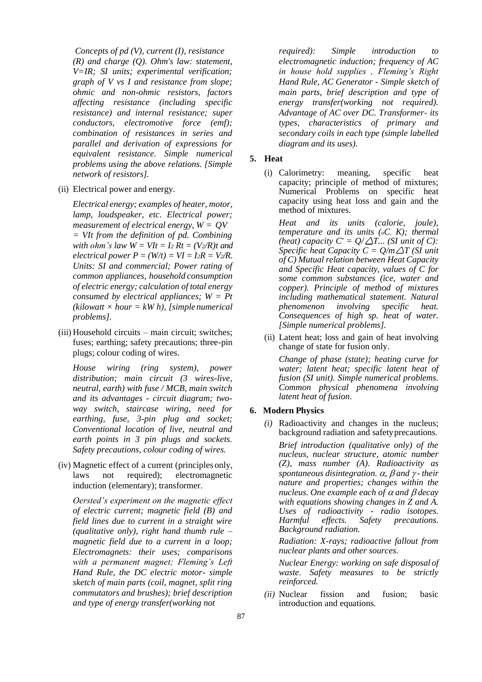*Concepts of pd (V), current (I), resistance (R) and charge (Q). Ohm's law: statement, V=IR; SI units; experimental verification; graph of V vs I and resistance from slope; ohmic and non-ohmic resistors, factors affecting resistance (including specific resistance) and internal resistance; super conductors, electromotive force (emf); combination of resistances in series and parallel and derivation of expressions for equivalent resistance. Simple numerical problems using the above relations. [Simple network of resistors].*

(ii) Electrical power and energy.

*Electrical energy; examples of heater, motor, lamp, loudspeaker, etc. Electrical power; measurement of electrical energy, W = QV = VIt from the definition of pd. Combining with ohm's law*  $W = VIt = I_2 Rt = (V_2/R)t$  *and electrical power*  $P = (W/t) = VI = I_2R = V_2/R$ . *Units: SI and commercial; Power rating of common appliances, household consumption of electric energy; calculation of total energy consumed by electrical appliances; W = Pt*   $(kilowatt \times hour = kW h)$ , *[simple numerical*] *problems].*

(iii) Household circuits – main circuit; switches; fuses; earthing; safety precautions; three-pin plugs; colour coding of wires.

*House wiring (ring system), power distribution; main circuit (3 wires-live, neutral, earth) with fuse / MCB, main switch and its advantages - circuit diagram; twoway switch, staircase wiring, need for earthing, fuse, 3-pin plug and socket; Conventional location of live, neutral and earth points in 3 pin plugs and sockets. Safety precautions, colour coding of wires.*

(iv) Magnetic effect of a current (principles only, laws not required); electromagnetic induction (elementary); transformer.

*Oersted's experiment on the magnetic effect of electric current; magnetic field (B) and field lines due to current in a straight wire (qualitative only), right hand thumb rule – magnetic field due to a current in a loop; Electromagnets: their uses; comparisons with a permanent magnet; Fleming's Left Hand Rule, the DC electric motor- simple sketch of main parts (coil, magnet, split ring commutators and brushes); brief description and type of energy transfer(working not*

*required): Simple introduction to electromagnetic induction; frequency of AC in house hold supplies , Fleming's Right Hand Rule, AC Generator - Simple sketch of main parts, brief description and type of energy transfer(working not required). Advantage of AC over DC. Transformer- its types, characteristics of primary and secondary coils in each type (simple labelled diagram and its uses).*

# **5. Heat**

(i) Calorimetry: meaning, specific heat capacity; principle of method of mixtures; Numerical Problems on specific heat capacity using heat loss and gain and the method of mixtures.

*Heat and its units (calorie, joule), temperature and its units (oC, K); thermal (heat) capacity*  $C' = Q/\Delta T$ *... (SI unit of C): Specific heat Capacity C =*  $Q/m\Delta T$  *(SI unit of C) Mutual relation between Heat Capacity and Specific Heat capacity, values of C for some common substances (ice, water and copper). Principle of method of mixtures including mathematical statement. Natural phenomenon involving specific heat. Consequences of high sp. heat of water. [Simple numerical problems].*

(ii) Latent heat; loss and gain of heat involving change of state for fusion only.

*Change of phase (state); heating curve for water; latent heat; specific latent heat of fusion (SI unit). Simple numerical problems. Common physical phenomena involving latent heat of fusion*.

## **6. Modern Physics**

*(i)* Radioactivity and changes in the nucleus; background radiation and safetyprecautions*.*

*Brief introduction (qualitative only) of the nucleus, nuclear structure, atomic number (Z), mass number (A). Radioactivity as spontaneous disintegration.*  $\alpha$ ,  $\beta$  and  $\gamma$ -their *nature and properties; changes within the nucleus. One example each of*  $\alpha$  *and*  $\beta$  *decay with equations showing changes in Z and A. Uses of radioactivity - radio isotopes. Harmful effects. Safety precautions. Background radiation.*

*Radiation: X-rays; radioactive fallout from nuclear plants and other sources.*

*Nuclear Energy: working on safe disposal of waste. Safety measures to be strictly reinforced.*

*(ii)* Nuclear fission and fusion; basic introduction and equations*.*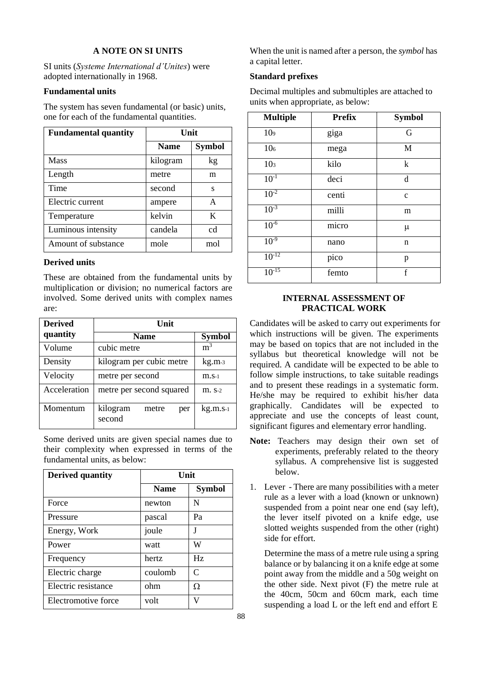# **A NOTE ON SI UNITS**

SI units (*Systeme International d'Unites*) were adopted internationally in 1968.

#### **Fundamental units**

The system has seven fundamental (or basic) units, one for each of the fundamental quantities.

| <b>Fundamental quantity</b> | Unit        |               |
|-----------------------------|-------------|---------------|
|                             | <b>Name</b> | <b>Symbol</b> |
| <b>Mass</b>                 | kilogram    | kg            |
| Length                      | metre       | m             |
| Time                        | second      | s             |
| Electric current            | ampere      | А             |
| Temperature                 | kelvin      | K             |
| Luminous intensity          | candela     | cd            |
| Amount of substance         | mole        | mol           |

## **Derived units**

These are obtained from the fundamental units by multiplication or division; no numerical factors are involved. Some derived units with complex names are:

| <b>Derived</b> | Unit                               |                |  |
|----------------|------------------------------------|----------------|--|
| quantity       | <b>Name</b>                        | <b>Symbol</b>  |  |
| Volume         | cubic metre                        | m <sup>3</sup> |  |
| Density        | kilogram per cubic metre           | $kg.m-3$       |  |
| Velocity       | metre per second                   | m.s.1          |  |
| Acceleration   | metre per second squared           | $m. s-2$       |  |
| Momentum       | kilogram<br>metre<br>per<br>second | kg.m.s.1       |  |

Some derived units are given special names due to their complexity when expressed in terms of the fundamental units, as below:

| <b>Derived quantity</b> | Unit        |                             |
|-------------------------|-------------|-----------------------------|
|                         | <b>Name</b> | <b>Symbol</b>               |
| Force                   | newton      | N                           |
| Pressure                | pascal      | Pa                          |
| Energy, Work            | joule       | J                           |
| Power                   | watt        | W                           |
| Frequency               | hertz       | Hz                          |
| Electric charge         | coulomb     | $\mathcal{C}_{\mathcal{C}}$ |
| Electric resistance     | ohm         | Ω                           |
| Electromotive force     | volt        | V                           |

When the unit is named after a person, the *symbol* has a capital letter.

# **Standard prefixes**

Decimal multiples and submultiples are attached to units when appropriate, as below:

| <b>Multiple</b> | <b>Prefix</b> | <b>Symbol</b> |
|-----------------|---------------|---------------|
| 10 <sub>9</sub> | giga          | G             |
| 10 <sub>6</sub> | mega          | M             |
| 10 <sub>3</sub> | kilo          | k             |
| $10^{-1}$       | deci          | d             |
| $10^{-2}$       | centi         | $\mathbf c$   |
| $10^{-3}$       | milli         | m             |
| $10^{-6}$       | micro         | μ             |
| $10^{-9}$       | nano          | n             |
| $10^{-12}$      | pico          | p             |
| $10^{-15}$      | femto         | f             |

# **INTERNAL ASSESSMENT OF PRACTICAL WORK**

Candidates will be asked to carry out experiments for which instructions will be given. The experiments may be based on topics that are not included in the syllabus but theoretical knowledge will not be required. A candidate will be expected to be able to follow simple instructions, to take suitable readings and to present these readings in a systematic form. He/she may be required to exhibit his/her data graphically. Candidates will be expected to appreciate and use the concepts of least count, significant figures and elementary error handling.

- Note: Teachers may design their own set of experiments, preferably related to the theory syllabus. A comprehensive list is suggested below.
- 1. Lever There are many possibilities with a meter rule as a lever with a load (known or unknown) suspended from a point near one end (say left), the lever itself pivoted on a knife edge, use slotted weights suspended from the other (right) side for effort.

Determine the mass of a metre rule using a spring balance or by balancing it on a knife edge at some point away from the middle and a 50g weight on the other side. Next pivot (F) the metre rule at the 40cm, 50cm and 60cm mark, each time suspending a load L or the left end and effort E